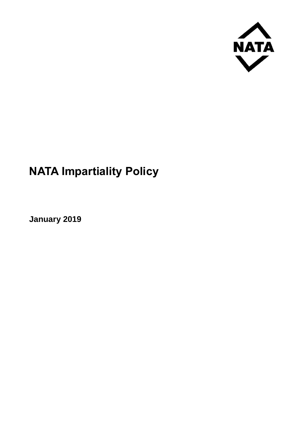

## **NATA Impartiality Policy**

**January 2019**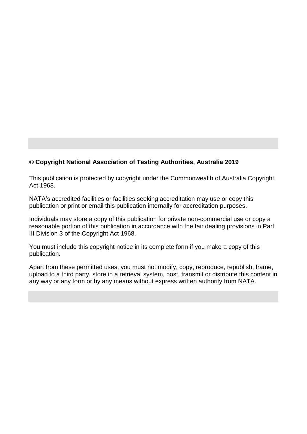## **© Copyright National Association of Testing Authorities, Australia 2019**

This publication is protected by copyright under the Commonwealth of Australia Copyright Act 1968.

NATA's accredited facilities or facilities seeking accreditation may use or copy this publication or print or email this publication internally for accreditation purposes.

Individuals may store a copy of this publication for private non-commercial use or copy a reasonable portion of this publication in accordance with the fair dealing provisions in Part III Division 3 of the Copyright Act 1968.

You must include this copyright notice in its complete form if you make a copy of this publication.

Apart from these permitted uses, you must not modify, copy, reproduce, republish, frame, upload to a third party, store in a retrieval system, post, transmit or distribute this content in any way or any form or by any means without express written authority from NATA.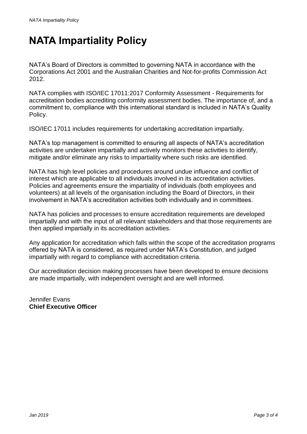## **NATA Impartiality Policy**

NATA's Board of Directors is committed to governing NATA in accordance with the Corporations Act 2001 and the Australian Charities and Not-for-profits Commission Act 2012.

NATA complies with ISO/IEC 17011:2017 Conformity Assessment - Requirements for accreditation bodies accrediting conformity assessment bodies. The importance of, and a commitment to, compliance with this international standard is included in NATA's Quality Policy.

ISO/IEC 17011 includes requirements for undertaking accreditation impartially.

NATA's top management is committed to ensuring all aspects of NATA's accreditation activities are undertaken impartially and actively monitors these activities to identify, mitigate and/or eliminate any risks to impartiality where such risks are identified.

NATA has high level policies and procedures around undue influence and conflict of interest which are applicable to all individuals involved in its accreditation activities. Policies and agreements ensure the impartiality of individuals (both employees and volunteers) at all levels of the organisation including the Board of Directors, in their involvement in NATA's accreditation activities both individually and in committees.

NATA has policies and processes to ensure accreditation requirements are developed impartially and with the input of all relevant stakeholders and that those requirements are then applied impartially in its accreditation activities.

Any application for accreditation which falls within the scope of the accreditation programs offered by NATA is considered, as required under NATA's Constitution, and judged impartially with regard to compliance with accreditation criteria.

Our accreditation decision making processes have been developed to ensure decisions are made impartially, with independent oversight and are well informed.

Jennifer Evans **Chief Executive Officer**